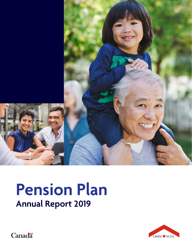

## **Pension Plan Annual Report 2019**



**Canadä**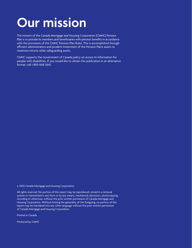## **Our mission**

The mission of the Canada Mortgage and Housing Corporation (CMHC) Pension Plan is to provide its members and beneficiaries with pension benefits in accordance with the provisions of the CMHC Pension Plan Rules. This is accomplished through efficient administration and prudent investment of the Pension Plan's assets to maximize returns while safeguarding assets.

CMHC supports the Government of Canada policy on access to information for people with disabilities. If you would like to obtain this publication in an alternative format, call 1-800-668-2642

© 2020 Canada Mortgage and Housing Corporation

All rights reserved. No portion of this report may be reproduced, stored in a retrieval system or transmitted in any form or by any means, mechanical, electronic, photocopying, recording or otherwise, without the prior written permission of Canada Mortgage and Housing Corporation. Without limiting the generality of the foregoing, no portion of this report may be translated into any other language without the prior written permission of Canada Mortgage and Housing Corporation.

Printed in Canada

Produced by CMHC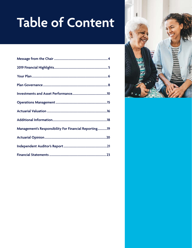## **Table of Content**

| <b>Management's Responsibility For Financial Reporting19</b> |  |
|--------------------------------------------------------------|--|
|                                                              |  |
|                                                              |  |
|                                                              |  |

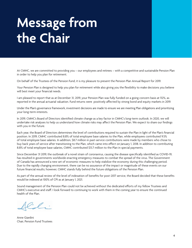## <span id="page-3-0"></span>**Message from the Chair**

At CMHC, we are committed to providing you – our employees and retirees – with a competitive and sustainable Pension Plan in order to help you plan for retirement.

On behalf of the Trustees of the Pension Fund, it is my pleasure to present the Pension Plan Annual Report for 2019.

Your Pension Plan is designed to help you plan for retirement while also giving you the flexibility to make decisions you believe will best meet your financial needs.

I am pleased to report that as at December 31, 2019, your Pension Plan was fully funded on a going concern basis at 112%, as reported in the annual actuarial valuation. Fund returns were positively affected by strong bond and equity markets in 2019.

Under the Plan's governance framework, investment decisions are made to ensure we are meeting Plan obligations and prioritizing your long-term interests.

In 2019, CMHC's Board of Directors identified climate change as a key factor in CMHC's long-term outlook. In 2020, we will undertake risk analyses to help us understand how climate risks may affect the Pension Plan. We expect to share our findings with you in the future.

Each year, the Board of Directors determines the level of contributions required to sustain the Plan in light of the Plan's financial position. In 2019, CMHC contributed 8.8% of total employee base salaries to the Plan, while employees contributed 9.5% of total employee base salaries. In addition, \$8.7 million in past-service contributions were made by members who chose to buy back years of service after transitioning to the Plan, which came into effect on January 1, 2018. In addition to contributing 8.8% of total employee base salaries, CMHC contributed \$13.7 million to the Plan in special payments.

Since December 31 2019, the outbreak of a novel strain of coronavirus, causing the disease specifically identified as COVID-19, has resulted in governments worldwide enacting emergency measures to combat the spread of the virus. The Government of Canada has announced a new set of economic measures to help stabilize the economy during this challenging period. Due to the rapidly changing environment, there can be no assurance of the impact or magnitude of these events on our future financial results; however, CMHC stands fully behind the future obligations of the Pension Plan.

As part of the annual review of the level of indexation of benefits for post-2017 service, the Board decided that these benefits would be indexed at 100% of CPI as at January 1, 2021.

Sound management of the Pension Plan could not be achieved without the dedicated efforts of my fellow Trustees and CMHC's executive and staff. I look forward to continuing to work with them in the coming year to ensure the continued health of the Plan.

 $^{\prime}$ 

Anne Giardini Chair, Pension Fund Trustees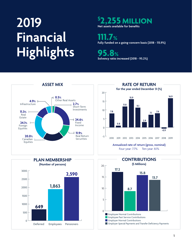## **2019 Financial Highlights**

## **\$ 2,255 MILLION Net assets available for benefits**

**111.7% Fully funded on a going-concern basis (2018 - 115.9%)**

**95.8% Solvency ratio increased (2018 - 95.2%)**







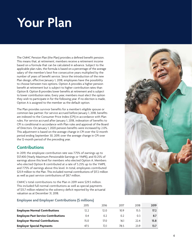## <span id="page-5-0"></span>**Your Plan**

The CMHC Pension Plan (the Plan) provides a defined benefit pension. This means that, at retirement, members receive a retirement income based on a formula that can be calculated in advance. Subject to the applicable plan rules, the formula is based on a percentage of the average salary of the member's best five consecutive years multiplied by the number of years of benefit service. Since the introduction of the new Plan design, effective January 1, 2018, employees have the possibility to choose between two options. Option A provides a higher pension benefit at retirement but is subject to higher contribution rates than Option B. Option B provides lower benefits at retirement and is subject to lower contribution rates. Every year, members must elect the option they wish to participate in for the following year. If no election is made, Option A is assigned to the member as the default option.

The Plan provides survivor benefits for a member's eligible spouse or common-law partner. For service accrued before January 1, 2018, benefits are indexed to the Consumer Price Index (CPI) in accordance with Plan rules. For service accrued after January 1, 2018, indexation of benefits to CPI is conditional in accordance with Plan rules and approval of the Board of Directors. On January 1, 2020 pension benefits were increased by 2.0%. This adjustment is based on the average change in CPI over the 12-month period ending September 30, 2019, over the average change in CPI over the 12-month period of the preceding year.

## **Contributions**

In 2019, the employee contribution rate was 7.75% of earnings up to \$57,400 (Yearly Maximum Pensionable Earnings or YMPE), and 10.25% of earnings above this level for members who elected Option A. Members who elected Option B contributed at a rate of 5.25% up to the YMPE, and 7.75% of earnings above this level. In total, employees contributed \$25.9 million to the Plan. This included normal contributions of \$17.2 million as well as past service contributions of \$8.7 million.

CMHC's total contributions to the Plan in 2019 were \$29.5 million. This included full normal contributions as well as special payments of \$13.7 million related to the solvency deficit reported by the actuarial valuation as at December 31, 2018.

## **Employee and Employer Contributions (\$ millions)**

|                                            | 2015 | 2016 | 2017 | 2018 | 2019 |
|--------------------------------------------|------|------|------|------|------|
| <b>Employee Normal Contributions</b>       | 12.2 | 12.0 | 10.9 | 15.5 | 17.2 |
| <b>Employee Past Service Contributions</b> | 0.4  | 0.2  | 0.2  | 0.3  | 8.7  |
| <b>Employer Normal Contributions</b>       | 15.0 | 17.0 | 16.1 | 77.4 | 15.8 |
| <b>Employer Special Payments</b>           | 47.5 | 77 1 | 78.5 | 23.9 | 13.7 |

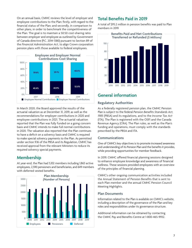On an annual basis, CMHC reviews the level of employer and employee contributions to the Plan: firstly, with regard to the financial status of the Plan; and secondly, in comparison to other plans, in order to benchmark the competitiveness of the Plan. The goal is to maintain a 50:50 cost-sharing ratio between employer and employee as outlined by Government of Canada directive (P.C. 2014-1380) pursuant to Section 89 of the *Financial Administration Act*, to align Crown corporation pension plans with those available to federal employees.



In March 2020, the Board approved the results of the actuarial valuation as at December 31, 2019, as well as the recommendations for employer contributions in 2020 and employee contributions in 2021. The actuarial valuation reported that the Plan was fully funded on a going concern basis and CMHC intends to make full normal contributions in 2020. The valuation also reported that the Plan continues to have a deficit on a solvency basis and CMHC is required to make special solvency payments to the Plan. As permitted under section 9.16 of the PBSA and its Regulation, CMHC has received approval from the relevant Ministers to reduce its required solvency special payments.

## **Membership**

At year-end, the Plan had 5,102 members including 1,863 active employees, 2,590 pensioners and beneficiaries, and 649 members with deferred vested benefits.



## **Total Benefits Paid in 2019**

A total of \$95.2 million in pension benefits was paid to Plan members in 2019.



## **General information**

## **Regulatory Authorities**

As a federally registered pension plan, the CMHC Pension Plan is subject to the federal *Pension Benefits Standards Act, 1985* (PBSA) and its regulations, and to the *Income Tax Act* (ITA). The Plan is registered with the OSFI and the Canada Revenue Agency (CRA). The Plan rules, as well as the Plan's funding and operations, must comply with the standards prescribed by the PBSA and ITA.

## **Communications**

One of CMHC's key objectives is to promote increased awareness and understanding of its Pension Plan and the benefits it provides, while providing opportunities for member feedback.

In 2019, CMHC offered financial planning sessions designed to enhance employee knowledge and awareness of financial wellness. These sessions provided employees with an overview of the principles of financial planning.

CMHC's other ongoing communication activities included the Annual Statement of Pension Benefits that is sent to each Plan member and the annual CMHC Pension Council Meeting Highlights.

## **Plan Documents**

Information related to the Plan is available on CMHC's website, including a description of the governance of the Plan and key roles and responsibilities under its governance structure.

Additional information can be obtained by contacting the CMHC Pay and Benefits Centre at 1-800-465-9932.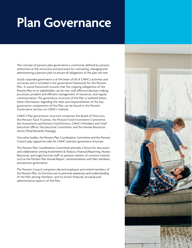## <span id="page-7-0"></span>**Plan Governance**

The concept of pension plan governance is commonly defined by pension authorities as the structures and processes for overseeing, managing and administering a pension plan to ensure all obligations of the plan are met.

Good corporate governance is at the heart of all of CMHC's activities and successes and is included in the governance framework for the Pension Plan. A sound framework ensures that the ongoing obligations of the Pension Plan to its stakeholders can be met, with effective decision-making processes, prudent and efficient management of resources, and regular communication. The governance structure of the Plan is outlined below. More information regarding the roles and responsibilities of the key governance components of the Plan can be found in the Pension Governance section on CMHC's website.

CMHC's Plan governance structure comprises the Board of Directors, the Pension Fund Trustees, the Pension Fund Investment Committee, the Investments and Pension Fund Division, CMHC's President and Chief Executive Officer, the Executive Committee, and the Human Resources Sector (Total Rewards Strategy).

Two other bodies, the Pension Plan Coordination Committee and the Pension Council, play supportive roles for CMHC's pension governance structure.

The Pension Plan Coordination Committee provides a forum for discussion and collaboration among Investments & Treasury, Financial Reporting, Human Resources, and Legal Services staff on pension matters of common interest, such as the Pension Plan Annual Report, communications with Plan members, and pension governance.

The Pension Council comprises elected employee and retired members of the Pension Plan. Its functions are to promote awareness and understanding of the Plan among members, and to review financial, actuarial and administrative aspects of the Plan.

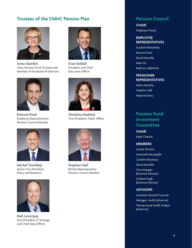## **Trustees of the CMHC Pension Plan Pension Council**



**Anne Giardini** Chair, Pension Fund Trustees and Member of the Board of Directors



**Etienne Pinel** Employee Representative Pension Council Member



**Michel Tremblay** Senior Vice-President, Policy and Research



**Neil Levecque** Vice-President, IT Strategy and Chief Data Officer



**Evan Siddall** President and Chief Executive Officer



**Christina Haddad** Vice-President, Public Affairs



**Stephen Hall** Retiree Representative Pension Council Member

**CHAIR** Stéphane Poulin

## **EMPLOYEE REPRESENTATIVES**

Guylaine Boudreau Etienne Pinel David Muriella Matt Xu Kathryn Laflamme

## **PENSIONER REPRESENTATIVES**

Marie Murphy Stephen Hall Mark McInnis

## **Pension Fund Investment Committee**

**CHAIR** Mark Chamie

## **MEMBERS**

Louise Stevens Amarnath Munipalle Caroline Bourassa David Muriella Clive Morgan (External Advisor) Graham Pugh

(External Advisor)

## **ADVISORS**

Assistant General Counsel Manager, Audit (observer) Transactional Audit Analyst (observer)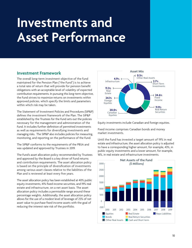## <span id="page-9-0"></span>**Investments and Asset Performance**

## **Investment Framework**

The overall long-term investment objective of the fund maintained for the Pension Plan ("the Fund") is to achieve a total rate of return that will provide for pension benefit obligations with an acceptable level of volatility of expected contribution requirements. In pursuing this long-term objective, the Fund strives to maximize returns on investments within approved policies, which specify the limits and parameters within which risk may be taken.

The Statement of Investment Policies and Procedures (SIP&P) defines the investment framework of the Plan. The SIP&P established by the Trustees for the Fund sets out the policies necessary for the management and administration of the Fund. It includes further definition of permitted investments as well as requirements for diversifying investments and managing risks. The SIP&P also includes policies for measuring, monitoring, and reporting on the performance of the Fund.

The SIP&P conforms to the requirements of the PBSA and was updated and approved by Trustees in 2019.

The Fund's asset allocation policy recommended by Trustees and approved by the Board is a key driver of Fund returns and contribution requirements. The asset allocation policy is based on the principle of diversification of investments among various asset classes relative to the liabilities of the Plan and is reviewed at least every five years.

The asset allocation policy has been established at 40% public equity investments, 41% fixed income securities, and 19% real estate and infrastructure, on a net asset basis. The asset allocation policy includes a permissible range around these percentage weights. Additionally, the asset allocation policy allows for the use of a modest level of leverage of 25% of net asset value to purchase fixed income assets with the goal of reducing the interest rate risk of the portfolio.



Equity investments include Canadian and foreign equities.

Fixed income comprises Canadian bonds and money market investments.

Until the Fund has invested a target amount of 19% in real estate and infrastructure, the asset allocation policy is adjusted to have a corresponding higher amount, for example, 43%, in public equity investments and a lower amount, for example, 16%, in real estate and infrastructure investments.

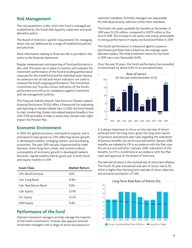## **Risk Management**

The risk parameters under which the Fund is managed are established by the Fund's Risk Appetite statement and asset allocation policy.

The Board of Directors' specific requirements for managing these risks are addressed by a range of established policies and practices.

More information relating to financial risks is provided in the notes to the financial statements.

Regular measurement and reporting of Fund performance is also vital. Processes are in place to monitor and evaluate the investment performance of the Fund (including performance measures for the overall Fund and for individual asset classes). An extensive set of risk and return indicators are used to measure the Fund's ongoing performance. The Investment Committee and Trustees review indicators of the Fund's performance as well as its compliance against investment and risk management policies.

The Financial Stability Board's Task Force on Climate-related Financial Disclosures (TCFD) offers a framework for evaluating and reporting on climate-related risks. In 2020, the Fund intends to start conducting climate risk-related analysis broadly in line with TCFD principles to help us assess how climate risks might impact the Pension Plan.

## **Economic Environment**

In 2019, the global economy continued to expand, and is estimated to have grown by 2.9% reflecting slower growth in developed markets, emerging market, and developing economies. The year 2019 was also characterized by trade tensions, lower long-term yields, and concerns about sustainability of economic growth in developed markets. However, capital markets had an good year in both bond and equity markets in 2019.

| <b>Asset Class</b>    | Market Return |
|-----------------------|---------------|
| Cdn. Bond Universe    | 6.9%          |
| Cdn. Long Bond        | 10.8%         |
| Cdn. Real Return Bond | $11.8\%$      |
| Cdn. Equity           | 22.9%         |
| U.S. Equity           | 23.2%         |
| <b>EAFE Equity</b>    | 17.8%         |

## **Performance of the Fund**

Internal investment managers actively manage the majority of the Fund's investments. Trustees also appoint external investment managers with a range of active and passive investment mandates. Portfolio managers are responsible for individual security selection within their mandates.

The Fund's net assets available for benefits at December 31, 2019 were \$2,255 million, compared to \$1,979 million at the end of 2018. The increase in net assets was mainly attributable to strong performance in equity and bond portfolios in 2019.

The Fund's performance is measured against a passive benchmark portfolio that is based on the strategic asset allocation policy. The total investment return for the Fund in 2019 was a very favourable 16.9%.

Over the past 10 years, the Fund's performance has exceeded its benchmark by about 0.4% on an annualized basis.



It is always important to focus on the real rate of return achieved over the long-term, given the long-term nature of pensions and pension plan rules regarding the indexation of pension benefits. For service accrued before 1 January 2018, benefits are indexed to CPI in accordance with the Plan rules. For service accrued after 1 January 2018, indexation of the benefits to CPI is conditional in accordance with the Plan rules and approval of the Board of Directors.

The real rate of return is the nominal rate of return less inflation. The Fund's 10-year annualized real rate of return was 6.2%, which is higher than the long-term real rate of return objective and actuarial assumption of 2.8%.

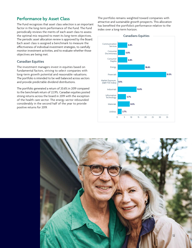## **Performance by Asset Class**

The Fund recognizes that asset class selection is an important factor in the long-term performance of the Fund. The Fund periodically reviews the merits of each asset class to assess the optimal mix required to meet its long-term objectives. The periodic asset allocation review is approved by the Board. Each asset class is assigned a benchmark to measure the effectiveness of individual investment strategies, to carefully monitor investment activities, and to evaluate whether those objectives are being met.

## **Canadian Equities**

The investment managers invest in equities based on fundamental factors, striving to select companies with long-term growth potential and reasonable valuations. The portfolio is intended to be well balanced across sectors and provide predictable dividend distributions.

The portfolio generated a return of 20.6% in 2019 compared to the benchmark return of 22.9%. Canadian equities posted strong returns across the board in 2019 with the exception of the health care sector. The energy sector rebounded considerably in the second half of the year to provide positive returns for 2019.

The portfolio remains weighted toward companies with attractive and sustainable growth prospects. This allocation has benefited the portfolio's performance relative to the index over a long-term horizon.



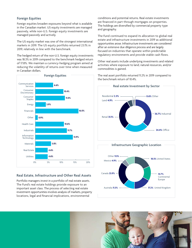## **Foreign Equities**

Foreign equities broaden exposures beyond what is available in the Canadian market. US equity investments are managed passively, while non-U.S. foreign equity investments are managed passively and actively.

The US equity market was one of the strongest international markets in 2019. The US equity portfolio returned 23.1% in 2019, relatively in line with the benchmark.

The hedged return of the non-U.S. foreign equity investments was 18.3% in 2019 compared to the benchmark hedged return of 17.8%. We maintain a currency-hedging program aimed at reducing the volatility of returns over time when measured in Canadian dollars.



## **Real Estate, Infrastructure and Other Real Assets**

Portfolio managers invest in a portfolio of real estate assets. The Fund's real estate holdings provide exposure to an important asset class. The process of selecting real estate investment opportunities involves analysis of markets, property locations, legal and financial implications, environmental

conditions and potential returns. Real estate investments are financed in part through mortgages on properties. The holdings are diversified by commercial property type and geography.

The Fund continued to expand its allocation to global real estate and infrastructure investments in 2019 as additional opportunities arose. Infrastructure investments are considered after an extensive due diligence process and are largely focused on industries that operate within predictable regulatory environments and provide stable cash flows.

Other real assets include underlying investments and related activities where exposure to land, natural resources, and/or commodities is gained.

The real asset portfolio returned 11.2% in 2019 compared to the benchmark return of 10.4%.



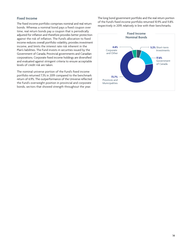## **Fixed Income**

The fixed income portfolio comprises nominal and real return bonds. Whereas a nominal bond pays a fixed coupon over time, real return bonds pay a coupon that is periodically adjusted for inflation and therefore provides better protection against the risk of inflation. The Fund's allocation to fixed income reduces overall portfolio volatility, provides investment income, and limits the interest rate risk inherent in the Plan's liabilities. The Fund invests in securities issued by the Government of Canada, Provincial governments and Canadian corporations. Corporate fixed income holdings are diversified and evaluated against stringent criteria to ensure acceptable levels of credit risk are taken.

The nominal universe portion of the Fund's fixed income portfolio returned 7.3% in 2019 compared to the benchmark return of 6.9%. The outperformance of the Universe reflected the Fund's overweight position in provincial and corporate bonds, sectors that showed strength throughout the year.

The long bond government portfolio and the real return portion of the Fund's fixed income portfolio returned 10.9% and 11.8% respectively in 2019, relatively in line with their benchmarks.

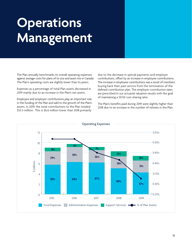## <span id="page-14-0"></span>**Operations Management**

The Plan annually benchmarks its overall operating expenses against average costs for plans of its size and asset mix in Canada. The Plan's operating costs are slightly lower than its peers.

Expenses as a percentage of total Plan assets decreased in 2019 mainly due to an increase in the Plan's net assets.

Employee and employer contributions play an important role in the funding of the Plan and add to the growth of the Plan's assets. In 2019, the total contributions to the Plan totaled \$55.5 million. This is \$6.6 million lower than 2018 primarily

due to the decrease in special payments and employer contributions, offset by an increase in employee contributions. The increase in employee contributions was a result of members buying back their past service from the termination of the defined contribution plan. The employer contribution rates are prescribed in our actuarial valuation results with the goal of maintaining a 50:50 cost-sharing ratio.

The Plan's benefits paid during 2019 were slightly higher than 2018 due to an increase in the number of retirees in the Plan.

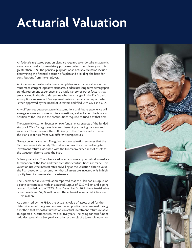## <span id="page-15-0"></span>**Actuarial Valuation**

All federally registered pension plans are required to undertake an actuarial valuation annually for regulatory purposes unless the solvency ratio is greater than 120%. The principal purposes of an actuarial valuation include determining the financial position of a plan and providing the basis for contributions from the employer.

An independent external actuary completes an actuarial valuation that must meet stringent legislative standards. It addresses long-term demographic trends, retirement experience and a wide variety of other factors that are analyzed in depth to determine whether changes in the Plan's basic assumptions are needed. Management reviews the valuation report, which is then approved by the Board of Directors and filed with OSFI and CRA.

Any differences between actuarial assumptions and future experience will emerge as gains and losses in future valuations, and will affect the financial position of the Plan and the contributions required to fund it at that time.

The actuarial valuation focuses on two fundamental aspects of the funded status of CMHC's registered defined benefit plan: going concern and solvency. These measure the sufficiency of the Fund's assets to meet the Plan's liabilities from two different perspectives.

Going concern valuation: The going concern valuation assumes that the Plan continues indefinitely. This valuation uses the expected long-term investment return associated with the Fund's diversified mix of assets at the valuation date to value the Plan.

Solvency valuation: The solvency valuation assumes a hypothetical immediate termination of the Plan and that no further contributions are made. This valuation uses the interest rates prevailing at the valuation date to value the Plan based on an assumption that all assets are invested only in high quality fixed income-related investments.

The December 31, 2019 valuation reported that the Plan had a surplus on a going concern basis with an actuarial surplus of \$239 million and a going concern funded ratio of 111.7%. As at December 31, 2019, the actuarial value of net assets was \$2,134 million and the actuarial value of liabilities was \$1,895 million.

As permitted by the PBSA, the actuarial value of assets used for the determination of the going concern funded position is determined through a method that smooths fluctuations in actual investment returns relative to expected investment returns over five years. The going concern funded ratio decreased since last year's valuation as a result of a lower discount rate.

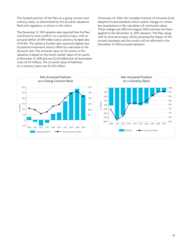The funded position of the Plan on a going concern and solvency basis, as determined by the actuarial valuations filed with regulators, is shown in the charts.

The December 31, 2019 valuation also reported that the Plan continued to have a deficit on a solvency basis, with an actuarial deficit of \$99 million and a solvency funded ratio of 95.8%. The solvency funded ratio improved slightly due to positive investment returns offset by a decrease in the discount rate. The actuarial value of net assets in this valuation is based on the Fund's market value of net assets at December 31, 2019 and was \$2,251 million (net of termination costs of \$4 million). The actuarial value of liabilities on a solvency basis was \$2,350 million.





**Net Actuarial Position on a Solvency Basis**  $\Omega$  $100%$ 95%  $-100$  $90%$  $-200$  $-300$ 85% \$ millions 80%  $-400$  $75%$  $-500$ 70%  $-600$  $-700$ 65%  $-800$ 60% 2010 2011 2012 2013 2014 2015 2016 2017 2018 2019 (Deficit) - Solvency Ratio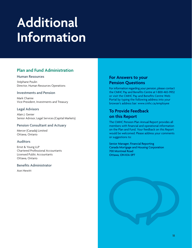## <span id="page-17-0"></span>**Additional Information**

## **Plan and Fund Administration**

#### **Human Resources**

Stéphane Poulin Director, Human Resources Operations

## **Investments and Pension**

Mark Chamie Vice-President, Investments and Treasury

## **Legal Advisors**

Alain J. Genier Senior Advisor, Legal Services (Capital Markets)

## **Pension Consultant and Actuary**

Mercer (Canada) Limited Ottawa, Ontario

## **Auditors**

Ernst & Young LLP Chartered Professional Accountants Licensed Public Accountants Ottawa, Ontario

## **Benefits Administrator**

Aon Hewitt

## **For Answers to your Pension Questions**

For information regarding your pension, please contact the CMHC Pay and Benefits Centre at 1-800-465-9932 or visit the CMHC Pay and Benefits Centre Web Portal by typing the following address into your browser's address bar: www.cmhc.ca/employee

## **To Provide Feedback on this Report**

The CMHC Pension Plan Annual Report provides all members with financial and operational information on the Plan and Fund. Your feedback on this Report would be welcomed. Please address your comments or suggestions to:

Senior Manager, Financial Reporting Canada Mortgage and Housing Corporation 700 Montreal Road Ottawa, ON K1A 0P7

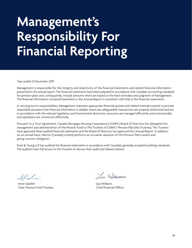## <span id="page-18-0"></span>**Management's Responsibility For Financial Reporting**

Year ended 31 December 2019

Management is responsible for the integrity and objectivity of the financial statements and related financial information presented in this annual report. The financial statements have been prepared in accordance with Canadian accounting standards for pension plans and, consequently, include amounts which are based on the best estimates and judgment of Management. The financial information contained elsewhere in this Annual Report is consistent with that in the financial statements.

In carrying out its responsibilities, Management maintains appropriate financial systems and related internal controls to provide reasonable assurance that financial information is reliable; assets are safeguarded; transactions are properly authorized and are in accordance with the relevant legislation and Government directives; resources are managed efficiently and economically; and operations are carried out effectively.

Pursuant to a Trust Agreement, Canada Mortgage Housing Corporation's (CMHC) Board of Directors has delegated the management and administration of the Pension Fund to The Trustees of CMHC's Pension Plan (the Trustees). The Trustees have approved these audited financial statements and the Board of Directors has approved this Annual Report. In addition, on an annual basis, Mercer (Canada) Limited performs an actuarial valuation of the Pension Plan's assets and going-concern obligation.

Ernst & Young LLP has audited the financial statements in accordance with Canadian generally accepted auditing standards. The auditors have full access to the Trustees to discuss their audit and related matters.

AC.C.

Anne Giardini Chair, Pension Fund Trustees

Loa Williams

Lisa Williams Chief Financial Officer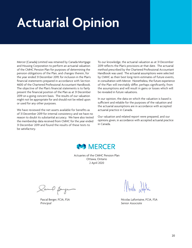## <span id="page-19-0"></span>**Actuarial Opinion**

Mercer (Canada) Limited was retained by Canada Mortgage and Housing Corporation to perform an actuarial valuation of the CMHC Pension Plan for purposes of determining the pension obligations of the Plan, and changes therein, for the year ended 31 December 2019, for inclusion in the Plan's financial statements prepared in accordance with Section 4600 of the Chartered Professional Accountant Handbook. The objective of the Plan's financial statements is to fairly present the financial position of the Plan as at 31 December 2019 on a going concern basis. The results of our valuation might not be appropriate for and should not be relied upon or used for any other purposes.

We have reviewed the net assets available for benefits as of 31 December 2019 for internal consistency and we have no reason to doubt its substantial accuracy. We have also tested the membership data received from CMHC for the year ended 31 December 2019 and found the results of these tests to be satisfactory.

To our knowledge, the actuarial valuation as at 31 December 2019 reflects the Plan's provisions at that date. The actuarial method prescribed by the Chartered Professional Accountant Handbook was used. The actuarial assumptions were selected by CMHC as their best long-term estimates of future events, in consultation with Mercer. Nonetheless, the future experience of the Plan will inevitably differ, perhaps significantly, from the assumptions and will result in gains or losses which will be revealed in future valuations.

In our opinion, the data on which the valuation is based is sufficient and reliable for the purposes of the valuation and the actuarial assumptions are in accordance with accepted actuarial practice in Canada.

Our valuation and related report were prepared, and our opinions given, in accordance with accepted actuarial practice in Canada.



Actuaries of the CMHC Pension Plan Ottawa, Ontario 2 April 2020

lavel page

Pascal Berger, FCIA, FSA *Principal*

Mich Santin

Nicolas Lafontaine, FCIA, FSA *Senior Associate*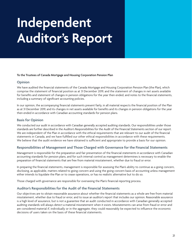# <span id="page-20-0"></span>**Independent Auditor's Report**

#### **To the Trustees of Canada Mortgage and Housing Corporation Pension Plan**

#### **Opinion**

We have audited the financial statements of the Canada Mortgage and Housing Corporation Pension Plan (the Plan), which comprise the statement of financial position as at 31 December 2019, and the statement of changes in net assets available for benefits and statement of changes in pension obligations for the year then ended, and notes to the financial statements, including a summary of significant accounting policies.

In our opinion, the accompanying financial statements present fairly, in all material respects the financial position of the Plan as at 31 December 2019, and its changes in net assets available for benefits and its changes in pension obligations for the year then ended in accordance with Canadian accounting standards for pension plans.

## **Basis for Opinion**

We conducted our audit in accordance with Canadian generally accepted auditing standards. Our responsibilities under those standards are further described in the Auditor's Responsibilities for the Audit of the Financial Statements section of our report. We are independent of the Plan in accordance with the ethical requirements that are relevant to our audit of the financial statements in Canada, and we have fulfilled our other ethical responsibilities in accordance with these requirements. We believe that the audit evidence we have obtained is sufficient and appropriate to provide a basis for our opinion.

## **Responsibilities of Management and Those Charged with Governance for the Financial Statements**

Management is responsible for the preparation and fair presentation of the financial statements in accordance with Canadian accounting standards for pension plans, and for such internal control as management determines is necessary to enable the preparation of financial statements that are free from material misstatement, whether due to fraud or error.

In preparing the financial statements, management is responsible for assessing the Plan's ability to continue as a going concern, disclosing, as applicable, matters related to going concern and using the going concern basis of accounting unless management either intends to liquidate the Plan or to cease operations, or has no realistic alternative but to do so.

Those charged with governance are responsible for overseeing the Plan's financial reporting process.

## **Auditor's Responsibilities for the Audit of the Financial Statements**

Our objectives are to obtain reasonable assurance about whether the financial statements as a whole are free from material misstatement, whether due to fraud or error, and to issue an auditor's report that includes our opinion. Reasonable assurance is a high level of assurance, but is not a guarantee that an audit conducted in accordance with Canadian generally accepted auditing standards will always detect a material misstatement when it exists. Misstatements can arise from fraud or error and are considered material if, individually or in the aggregate, they could reasonably be expected to influence the economic decisions of users taken on the basis of these financial statements.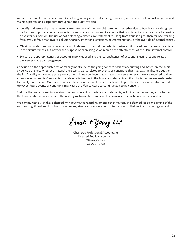As part of an audit in accordance with Canadian generally accepted auditing standards, we exercise professional judgment and maintain professional skepticism throughout the audit. We also:

- Identify and assess the risks of material misstatement of the financial statements, whether due to fraud or error, design and perform audit procedures responsive to those risks, and obtain audit evidence that is sufficient and appropriate to provide a basis for our opinion. The risk of not detecting a material misstatement resulting from fraud is higher than for one resulting from error, as fraud may involve collusion, forgery, intentional omissions, misrepresentations, or the override of internal control.
- Obtain an understanding of internal control relevant to the audit in order to design audit procedures that are appropriate in the circumstances, but not for the purpose of expressing an opinion on the effectiveness of the Plan's internal control.
- Evaluate the appropriateness of accounting policies used and the reasonableness of accounting estimates and related disclosures made by management.

Conclude on the appropriateness of management's use of the going concern basis of accounting and, based on the audit evidence obtained, whether a material uncertainty exists related to events or conditions that may cast significant doubt on the Plan's ability to continue as a going concern. If we conclude that a material uncertainty exists, we are required to draw attention in our auditor's report to the related disclosures in the financial statements or, if such disclosures are inadequate, to modify our opinion. Our conclusions are based on the audit evidence obtained up to the date of our auditor's report. However, future events or conditions may cause the Plan to cease to continue as a going concern.

Evaluate the overall presentation, structure, and content of the financial statements, including the disclosures, and whether the financial statements represent the underlying transactions and events in a manner that achieves fair presentation.

We communicate with those charged with governance regarding, among other matters, the planned scope and timing of the audit and significant audit findings, including any significant deficiencies in internal control that we identify during our audit.

Ernst + young LLP

Chartered Professional Accountants Licensed Public Accountants Ottawa, Ontario 24 March 2020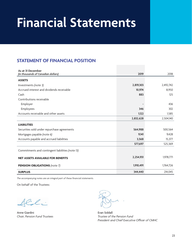## <span id="page-22-0"></span>**Financial Statements**

## **STATEMENT OF FINANCIAL POSITION**

| As at 31 December<br>(in thousands of Canadian dollars) | 2019      | 2018      |
|---------------------------------------------------------|-----------|-----------|
| <b>ASSETS</b>                                           |           |           |
| Investments (note 3)                                    | 2,819,303 | 2,492,742 |
| Accrued interest and dividends receivable               | 10,974    | 8,950     |
| Cash                                                    | 883       | 125       |
| Contributions receivable                                |           |           |
| Employer                                                |           | 436       |
| Employees                                               | 346       | 302       |
| Accounts receivable and other assets                    | 1,122     | 1,585     |
|                                                         | 2,832,628 | 2,504,140 |
| <b>LIABILITIES</b>                                      |           |           |
| Securities sold under repurchase agreements             | 564,988   | 500,564   |
| Mortgages payable (note 6)                              | 9,141     | 9,428     |
| Accounts payable and accrued liabilities                | 3,568     | 15,377    |
|                                                         | 577,697   | 525,369   |
| Commitments and contingent liabilities (note 13)        |           |           |
| <b>NET ASSETS AVAILABLE FOR BENEFITS</b>                | 2,254,931 | 1,978,771 |
| <b>PENSION OBLIGATIONS</b> (note 7)                     | 1,910,491 | 1,764,726 |
| <b>SURPLUS</b>                                          | 344,440   | 214,045   |

*The accompanying notes are an integral part of these financial statements.*

On behalf of the Trustees:

 $2 - \ell -$ 

Anne Giardini *Chair, Pension Fund Trustees*

Evan Siddall *Trustee of the Pension Fund President and Chief Executive Officer of CMHC*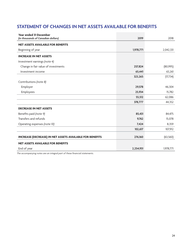## **STATEMENT OF CHANGES IN NET ASSETS AVAILABLE FOR BENEFITS**

| Year ended 31 December<br>(in thousands of Canadian dollars)    | 2019      | 2018      |
|-----------------------------------------------------------------|-----------|-----------|
| <b>NET ASSETS AVAILABLE FOR BENEFITS</b>                        |           |           |
| Beginning of year                                               | 1,978,771 | 2,042,331 |
| <b>INCREASE IN NET ASSETS</b>                                   |           |           |
| Investment earnings (note 4)                                    |           |           |
| Change in fair value of investments                             | 257,824   | (80,995)  |
| Investment income                                               | 65,441    | 63,261    |
|                                                                 | 323,265   | (17, 734) |
| Contributions (note 8)                                          |           |           |
| Employer                                                        | 29,578    | 46,304    |
| Employees                                                       | 25,934    | 15,782    |
|                                                                 | 55,512    | 62,086    |
|                                                                 | 378,777   | 44,352    |
| <b>DECREASE IN NET ASSETS</b>                                   |           |           |
| Benefits paid (note 9)                                          | 85,431    | 84,475    |
| Transfers and refunds                                           | 9,762     | 15,078    |
| Operating expenses (note 10)                                    | 7,424     | 8,359     |
|                                                                 | 102,617   | 107,912   |
| <b>INCREASE (DECREASE) IN NET ASSETS AVAILABLE FOR BENEFITS</b> | 276,160   | (63, 560) |
| <b>NET ASSETS AVAILABLE FOR BENEFITS</b>                        |           |           |
| End of year                                                     | 2,254,931 | 1,978,771 |

*The accompanying notes are an integral part of these financial statements.*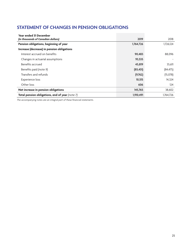## **STATEMENT OF CHANGES IN PENSION OBLIGATIONS**

| <b>Year ended 31 December</b><br>(in thousands of Canadian dollars) | 2019      | 2018      |
|---------------------------------------------------------------------|-----------|-----------|
| Pension obligations, beginning of year                              | 1,764,726 | 1,726,124 |
| Increase (decrease) in pension obligations                          |           |           |
| Interest accrued on benefits                                        | 90,483    | 88,096    |
| Changes in actuarial assumptions                                    | 93,535    |           |
| Benefits accrued                                                    | 45,819    | 35,611    |
| Benefits paid (note 9)                                              | (85, 431) | (84, 475) |
| Transfers and refunds                                               | (9,762)   | (15,078)  |
| Experience loss                                                     | 10,515    | 14,324    |
| Other loss                                                          | 606       | 124       |
| Net increase in pension obligations                                 | 145,765   | 38,602    |
| Total pension obligations, end of year (note 7)                     | 1,910,491 | 1.764.726 |

*The accompanying notes are an integral part of these financial statements.*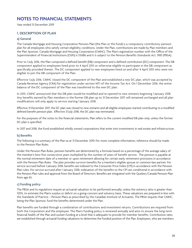## **NOTES TO FINANCIAL STATEMENTS**

Year ended 31 December 2019

## **1. DESCRIPTION OF PLAN**

#### **a) General**

The Canada Mortgage and Housing Corporation Pension Plan (the Plan or the Fund) is a compulsory contributory pension plan for all employees who satisfy certain eligibility conditions. Under the Plan, contributions are made by Plan members and the Plan Sponsor, Canada Mortgage and Housing Corporation (CMHC). The Plan's registration number with the Office of the Superintendent of Financial Institutions (OSFI) is 55086 and it is subject to the *Pension Benefits Standards Act, 1985* (PBSA).

Prior to 1 July 2016, the Plan comprised a defined benefit (DB) component and a defined contribution (DC) component. The DB component applied to employees hired prior to 4 April 2013 or otherwise eligible to participate in the DB component as specifically provided therein. The DC component applied to new employees hired on and after 4 April 2013 who were not eligible to join the DB component of the Plan.

Effective 1 July 2016, CMHC closed the DC component of the Plan and established a new DC plan, which was accepted by Canada Revenue Agency (CRA) for registration under section 147.1 of the *Income Tax Act*. On 1 December 2016, the entire balance of the DC component of the Plan was transferred to the new DC plan.

In 2015, CMHC announced that the DB plan would be modified and re-opened to new entrants beginning 1 January 2018. Any benefits earned by Plan members in the former DB plan up to 31 December 2017 will remained unchanged and all plan modifications will only apply to service starting 1 January 2018.

Effective 31 December 2017, the DC plan was closed to new entrants and all eligible employees started contributing to a modified defined benefit pension plan. Effective 31 July 2018, the DC plan was terminated.

For the purposes of the notes to the financial statements, Plan refers to the current modified DB plan only, unless the former DC plan is specified.

In 2017 and 2018, the Fund established wholly owned corporations that enter into investments in real estate and infrastructure.

## **b) Benefits**

The following is a summary of the Plan as at 31 December 2019. For more complete information, reference should be made to the Pension Plan Rules.

Under the Pension Plan Rules, pension benefits are determined by a formula based on a percentage of the average salary of the member's best five consecutive years multiplied by the number of years of benefit service. The pension is payable at the normal retirement date of a member or upon retirement allowing for certain early retirement provisions in accordance with the Pension Plan Rules. The plan provides survivor benefits for a member's eligible spouse or common-law partner. For service accrued before 1 January 2018, benefits are indexed to the Consumer Price Index (CPI) in accordance with the Pension Plan rules. For service accrued after 1 January 2018, indexation of the benefits to the CPI are conditional in accordance with the Pension Plan rules and approval from the Board of Directors. Benefits are integrated with the Quebec/Canada Pension Plan from age 65.

## **c) Funding policy**

The PBSA and its regulations require an actuarial valuation to be performed annually, unless the solvency ratio is greater than 120%, to estimate the Plan's surplus or deficit on a going-concern and solvency basis. These valuations are prepared in line with the Standards of Practice – Pension Plans as prescribed by the Canadian Institute of Actuaries. The PBSA requires that CMHC, being the Plan Sponsor, fund the benefits determined under the Plan.

Plan benefits are funded through a combination of contributions and investment returns. Contributions are required from both the Corporation and the employee. The Plan's funding policy is reviewed annually and aims to ensure the long-term financial health of the Plan and sustain funding at a level that is adequate to provide for member benefits. Contribution rates are established through actuarial funding valuations to determine the funded position of the Plan. Employees, who are members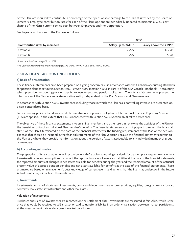of the Plan, are required to contribute a percentage of their pensionable earnings to the Plan at rates set by the Board of Directors. Employee contribution rates for each of the Plan's options are periodically updated to maintain a 50:50 cost sharing of the Plan's current service cost between Employees and the Corporation.

Employee contributions to the Plan are as follows:

|                                      | 2019 <sup>1</sup>              |                                    |  |  |
|--------------------------------------|--------------------------------|------------------------------------|--|--|
| <b>Contribution rates by members</b> | Salary up to YMPE <sup>2</sup> | Salary above the YMPE <sup>2</sup> |  |  |
| Option A                             | 7.75%                          | 10.25%                             |  |  |
| Option B                             | 5.25%                          | 7.75%                              |  |  |

*1 Rates remained unchanged from 2018.*

*2 The year's maximum pensionable earnings (YMPE) were \$57,400 in 2019 and \$55,900 in 2018.*

## **2. SIGNIFICANT ACCOUNTING POLICIES**

#### **a) Basis of presentation**

These financial statements have been prepared on a going concern basis in accordance with the Canadian accounting standards for pension plans as set out in Section 4600, *Pension Plans* (Section 4600), in Part IV of the CPA Canada Handbook – Accounting, which prescribes accounting policies specific to investments and pension obligations. These financial statements present the information of the Plan as a separate reporting entity independent of the Plan Sponsor and Plan members.

In accordance with Section 4600, investments, including those in which the Plan has a controlling interest, are presented on a non-consolidated basis.

For accounting policies that do not relate to investments or pension obligations, International Financial Reporting Standards (IFRS) are applied. To the extent that IFRS is inconsistent with Section 4600, Section 4600 takes precedence.

The objective of these financial statements is to assist Plan members and other users in reviewing the activities of the Plan or the benefit security of an individual Plan member's benefits. The financial statements do not purport to reflect the financial status of the Plan if terminated on the date of the financial statements, the funding requirements of the Plan or the pension expense that should be included in the financial statements of the Plan Sponsor. Because the financial statements pertain to the Plan as a whole, they provide no information about the portion of assets attributable to any individual member or group of members.

## **b) Accounting estimates**

The preparation of financial statements in accordance with Canadian accounting standards for pension plans requires management to make estimates and assumptions that affect the reported amount of assets and liabilities at the date of the financial statements, the reported amounts of changes in net assets available for benefits during the year and the reported amount of the actuarial present value of accrued pension benefits and net assets available for benefits at the date of the financial statements. These estimates are based on management's best knowledge of current events and actions that the Plan may undertake in the future. Actual results may differ from these estimates.

## **c) Investments**

Investments consist of short-term investments, bonds and debentures, real return securities, equities, foreign currency forward contracts, real estate, infrastructure and other real assets.

#### **Valuation of investments**

Purchases and sales of investments are recorded on the settlement date. Investments are measured at fair value, which is the price that would be received to sell an asset or paid to transfer a liability in an orderly transaction between market participants at the measurement date under current market conditions.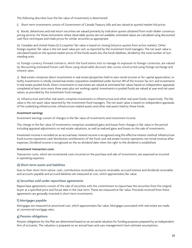The following describes how the fair value of investments is determined:

i) Short-term investments consist of Government of Canada Treasury bills and are valued at quoted market bid prices.

ii) Bonds, debentures and real return securities are valued primarily by indicative quotes obtained from multi-dealer consensus pricing services. For those instruments where observable quotes are not available, estimated values are calculated using discounted cash flow techniques and trade prices for similar securities as appropriate.

iii) Canadian and United States (U.S.) equities' fair value is based on closing bid price quotes from active markets. Other foreign equities' fair value is the net asset value per unit, as reported by the investment fund managers. The net asset value is calculated based on the quoted market prices of the fund's assets less the fund's liabilities, divided by the total number of outstanding units.

iv) Foreign currency forward contracts, which the Fund enters into to manage its exposure to foreign currencies, are valued by discounting estimated future cash flows using observable discount rate curves constructed using foreign exchange and interest rates.

v) Real estate comprises direct investments in real estate (properties held to earn rental income or for capital appreciation, or both), investments in wholly owned real estate corporation established under Section 149 of the Income Tax Act, and investments in real estate pooled funds. Direct investments in real estate are valued at estimated fair values based on independent appraisals completed at least once every three years plus net working capital. Investments in pooled funds are valued at year-end net asset values, as provided by the investment fund manager.

vi) Infrastructure and other real assets comprise investments in infrastructure and other real asset funds, respectively. The fair value is the net asset value reported by the investment fund managers. The net asset value is based on independent appraisals of the underlying infrastructure, infrastructure-related assets and other real assets held by these funds.

#### **Investment earnings**

Investment earnings consist of changes in the fair value of investments and investment income.

The change in the fair value of investments comprises unrealized gains and losses from changes in fair value in the period including appraisal adjustments on real estate valuations, as well as realized gains and losses on the sale of investments.

Investment income is recorded on an accrual basis. Interest income is recognized using the effective interest method. Infrastructure fund income represents cash distribution entitlements of the Fund, and real estate income represents net rental revenue after expenses. Dividend income is recognized on the ex-dividend date when the right to the dividend is established.

#### **Investment transaction costs**

Transaction costs, which are incremental costs incurred on the purchase and sale of investments, are expensed as incurred in operating expenses.

#### **d) Short-term assets and liabilities**

Due to their short-term nature, cash, contributions receivable, accounts receivable, accrued interest and dividends receivable, and accounts payable and accrued liabilities are measured at cost, which approximates fair value.

#### **e) Securities sold under repurchase agreements**

Repurchase agreements consist of the sale of securities with the commitment to repurchase the securities from the original buyer at a specified price and future date in the near term. These are measured at fair value. Proceeds received from these agreements are generally invested in short-term investments.

## **f) Mortgages payable**

Mortgages are measured at amortized cost, which approximates fair value. Mortgages associated with real estate are made at commercial mortgage rates.

#### **g) Pension obligations**

Pension obligations for the Plan are determined based on an actuarial valuation for funding purposes prepared by an independent firm of actuaries. The valuation is prepared on an annual basis and uses management's best estimate assumptions.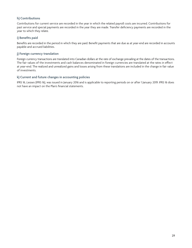## **h) Contributions**

Contributions for current service are recorded in the year in which the related payroll costs are incurred. Contributions for past service and special payments are recorded in the year they are made. Transfer deficiency payments are recorded in the year to which they relate.

## **i) Benefits paid**

Benefits are recorded in the period in which they are paid. Benefit payments that are due as at year-end are recorded in accounts payable and accrued liabilities.

## **j) Foreign currency translation**

Foreign currency transactions are translated into Canadian dollars at the rate of exchange prevailing at the dates of the transactions. The fair values of the investments and cash balances denominated in foreign currencies are translated at the rates in effect at year-end. The realized and unrealized gains and losses arising from these translations are included in the change in fair value of investments.

## **k) Current and future changes in accounting policies**

IFRS 16, *Leases* (IFRS 16), was issued in January 2016 and is applicable to reporting periods on or after 1 January 2019. IFRS 16 does not have an impact on the Plan's financial statements.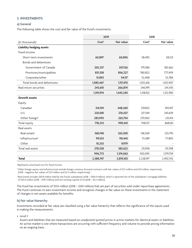## **3. INVESTMENTS**

## **a) General**

The following table shows the cost and fair value of the Fund's investments.

|                                 | 2019              |                   | 2018              |            |
|---------------------------------|-------------------|-------------------|-------------------|------------|
| (in thousands)                  | Cost <sup>1</sup> | <b>Fair value</b> | Cost <sup>1</sup> | Fair value |
| <b>Liability hedging assets</b> |                   |                   |                   |            |
| Fixed income                    |                   |                   |                   |            |
| Short-term investments          | 60,897            | 60,896            | 58,495            | 58,531     |
| Bonds and debentures            |                   |                   |                   |            |
| Government of Canada            | 202,237           | 207,126           | 179,386           | 182,662    |
| Provinces/municipalities        | 831,338           | 856,227           | 780,822           | 777,459    |
| Corporate/other                 | 51,892            | 54,117            | 52,408            | 52,786     |
| Total bonds and debentures      | 1,085,467         | 1,117,470         | 1,012,616         | 1,012,907  |
| Real return securities          | 245,610           | 266,874           | 246,991           | 241,545    |
|                                 | 1,391,974         | 1,445,240         | 1,318,102         | 1,312,983  |
| <b>Growth assets</b>            |                   |                   |                   |            |
| Equity                          |                   |                   |                   |            |
| Canadian                        | 214,159           | 448,260           | 219,825           | 393,107    |
| U.S.                            | 220,081           | 276,427           | 217,349           | 243,639    |
| Other foreign <sup>2</sup>      | 283,995           | 265,754           | 270,963           | 231,415    |
| Total equity                    | 718,235           | 990,441           | 708,137           | 868,161    |
| Real assets                     |                   |                   |                   |            |
| Real estate <sup>3</sup>        | 168,748           | 263,200           | 138,569           | 233,793    |
| Infrastructure <sup>2</sup>     | 99,535            | 110,443           | 73,389            | 77,805     |
| Other                           | 10,255            | 9,979             |                   |            |
| Total real assets               | 278,538           | 383,622           | 211,958           | 311,598    |
|                                 | 996,773           | 1,374,063         | 920,095           | 1,179,759  |
| <b>Total</b>                    | 2,388,747         | 2,819,303         | 2,238,197         | 2,492,742  |

*1 Represents amortized cost for fixed income.*

*2 Other foreign equity and infrastructure include foreign currency forward contracts with fair values of \$1.5 million and \$1.8 million, respectively (2018 – negative fair values of \$3.9 million and \$2.3 million, respectively).*

*3 Real estate includes \$101.8 million held by the Fund's subsidiaries (2018 – \$106.9 million), which is reported net of the subsidiaries' mortgage liabilities of \$113.4 million (2018 – \$119.1 million) and net working capital of nil (2018 – \$0.2 million).* 

The Fund has investments of \$555 million (2018 – \$501 million) that are part of securities sold under repurchase agreements. The Fund continues to earn investment income and recognize changes in fair value on these investments in the statement of changes in net assets available for benefits.

## **b) Fair value hierarchy**

Investments recorded at fair value are classified using a fair value hierarchy that reflects the significance of the inputs used in making the measurements:

• Level 1:

Assets and liabilities that are measured based on unadjusted quoted prices in active markets for identical assets or liabilities. An active market is one where transactions are occurring with sufficient frequency and volume to provide pricing information on an ongoing basis.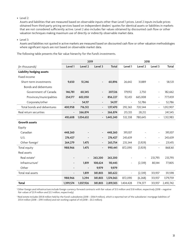• Level 2:

Assets and liabilities that are measured based on observable inputs other than Level 1 prices. Level 2 inputs include prices obtained from third-party pricing services based on independent dealers' quotes for identical assets or liabilities in markets that are not considered sufficiently active. Level 2 also includes fair values obtained by discounted cash flow or other valuation techniques making maximum use of directly or indirectly observable market data.

• Level 3:

Assets and liabilities not quoted in active markets are measured based on discounted cash flow or other valuation methodologies where significant inputs are not based on observable market data.

The following table presents the fair value hierarchy for the Fund's investments.

|                                 |                          | 2019                     |                          |              |                          | 2018                     |                          |           |
|---------------------------------|--------------------------|--------------------------|--------------------------|--------------|--------------------------|--------------------------|--------------------------|-----------|
| (in thousands)                  | Level 1                  | Level 2                  | Level 3                  | <b>Total</b> | Level 1                  | Level 2                  | Level 3                  | Total     |
| <b>Liability hedging assets</b> |                          |                          |                          |              |                          |                          |                          |           |
| Fixed income                    |                          |                          |                          |              |                          |                          |                          |           |
| Short-term investments          | 9,650                    | 51,246                   | $\overline{\phantom{a}}$ | 60,896       | 26,642                   | 31,889                   |                          | 58,531    |
| Bonds and debentures            |                          |                          |                          |              |                          |                          |                          |           |
| Government of Canada            | 146,781                  | 60,345                   | $\overline{\phantom{a}}$ | 207,126      | 179,912                  | 2,750                    | $\overline{\phantom{0}}$ | 182,662   |
| Provinces/municipalities        | 254,177                  | 602,050                  | $\overline{\phantom{a}}$ | 856,227      | 112,451                  | 665,008                  | $\overline{\phantom{a}}$ | 777,459   |
| Corporate/other                 |                          | 54,117                   | $\overline{\phantom{a}}$ | 54,117       | $\overline{\phantom{a}}$ | 52,786                   |                          | 52,786    |
| Total bonds and debentures      | 400,958                  | 716,512                  | $\overline{\phantom{a}}$ | 1,117,470    | 292,363                  | 720,544                  | $\overline{\phantom{a}}$ | 1,012,907 |
| Real return securities          |                          | 266,874                  | $\overline{\phantom{a}}$ | 266,874      | 213,333                  | 28,212                   |                          | 241,545   |
|                                 | 410,608                  | 1,034,632                | $\overline{\phantom{a}}$ | 1,445,240    | 532,338                  | 780,645                  | $\overline{\phantom{a}}$ | 1,312,983 |
| <b>Growth assets</b>            |                          |                          |                          |              |                          |                          |                          |           |
| Equity                          |                          |                          |                          |              |                          |                          |                          |           |
| Canadian                        | 448,260                  |                          | $\overline{\phantom{a}}$ | 448,260      | 393,107                  |                          | $\overline{\phantom{0}}$ | 393,107   |
| U.S.                            | 276,427                  |                          | $\overline{\phantom{a}}$ | 276,427      | 243,639                  |                          | $\overline{\phantom{a}}$ | 243,639   |
| Other foreign <sup>1</sup>      | 264,279                  | 1,475                    | $\overline{\phantom{a}}$ | 265,754      | 235,344                  | (3,929)                  |                          | 231,415   |
| Total equity                    | 988,966                  | 1,475                    | $\overline{\phantom{a}}$ | 990,441      | 872,090                  | (3,929)                  | $\overline{\phantom{a}}$ | 868,161   |
| Real assets                     |                          |                          |                          |              |                          |                          |                          |           |
| Real estate <sup>2</sup>        |                          |                          | 263,200                  | 263,200      |                          | $\overline{\phantom{a}}$ | 233,793                  | 233,793   |
| Infrastructure <sup>1</sup>     | $\overline{\phantom{a}}$ | 1,819                    | 108,624                  | 110,443      | $\overline{\phantom{a}}$ | (2,339)                  | 80,144                   | 77,805    |
| Other                           |                          | $\overline{\phantom{a}}$ | 9,979                    | 9,979        |                          |                          |                          |           |
| Total real assets               | $\overline{\phantom{a}}$ | 1,819                    | 381,803                  | 383,622      | $\overline{\phantom{m}}$ | (2, 339)                 | 313,937                  | 311,598   |
|                                 | 988,966                  | 3,294                    | 381,803                  | 1,374,063    | 872,090                  | (6, 268)                 | 313,937                  | 1,179,759 |
| <b>Total</b>                    | 1,399,574                | 1,037,926                | 381,803                  | 2,819,303    | 1,404,428                | 774,377                  | 313,937                  | 2,492,742 |

<sup>1</sup> Other foreign and infrastructure include foreign currency forward contracts with fair values of \$1.5 million and \$1.8 million, respectively (2018 – negative *fair values of \$3.9 million and \$2.3 million, respectively).*

<sup>2</sup> Real estate includes \$101.8 million held by the Fund's subsidiaries (2018 – \$106.9 million), which is reported net of the subsidiaries' mortgage liabilities of *\$113.4 million (2018 – \$119.1 million) and net working capital of nil (2018 – \$0.2 million).*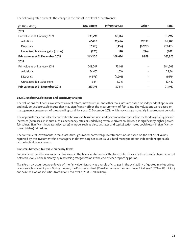The following table presents the change in the fair value of level 3 investments:

| (in thousands)                       | <b>Real estate</b> | <b>Infrastructure</b> | Other   | Total     |
|--------------------------------------|--------------------|-----------------------|---------|-----------|
| 2019                                 |                    |                       |         |           |
| Fair value as at 1 January 2019      | 233,793            | 80,144                |         | 313,937   |
| <b>Additions</b>                     | 47,490             | 29,496                | 19,222  | 96,208    |
| <b>Disposals</b>                     | (17, 310)          | (1,156)               | (8,967) | (27, 433) |
| Unrealized fair value gains (losses) | (773)              | 140                   | (276)   | (909)     |
| Fair value as at 31 December 2019    | 263,200            | 108,624               | 9,979   | 381,803   |
| 2018                                 |                    |                       |         |           |
| Fair value as at 1 January 2018      | 209,247            | 75,021                |         | 284,268   |
| <b>Additions</b>                     | 24,051             | 4,310                 |         | 28,361    |
| <b>Disposals</b>                     | (4,976)            | (4,203)               |         | (9,179)   |
| Unrealized fair value gains          | 5,471              | 5,016                 |         | 10,487    |
| Fair value as at 31 December 2018    | 233,793            | 80,144                |         | 313,937   |

#### **Level 3 unobservable inputs and sensitivity analysis**

The valuations for Level 3 investments in real estate, infrastructure, and other real assets are based on independent appraisals and include unobservable inputs that may significantly affect the measurement of fair value. The valuations were based on management's assessment of the prevailing conditions as at 31 December 2019, which may change materially in subsequent periods.

The appraisals may consider discounted cash flow, capitalization rate, and/or comparable transaction methodologies. Significant increases (decreases) in inputs such as occupancy rates or underlying revenue drivers could result in significantly higher (lower) fair values. Significant increases (decreases) in inputs such as discount rates and capitalization rates could result in significantly lower (higher) fair values.

The fair value of investments in real assets through limited-partnership investment funds is based on the net asset values reported by the investment fund managers. In determining net asset values, fund managers obtain independent appraisals of the individual real assets.

## **Transfers between fair value hierarchy levels**

For assets and liabilities measured at fair value in the financial statements, the Fund determines whether transfers have occurred between levels in the hierarchy by reassessing categorization at the end of each reporting period.

Transfers may occur between levels of the fair value hierarchy as a result of changes in the availability of quoted market prices or observable market inputs. During the year, the Fund reclassified \$73 million of securities from Level 2 to Level 1 (2018 – \$18 million) and \$266 million of securities from Level 1 to Level 2 (2018 – \$91 million).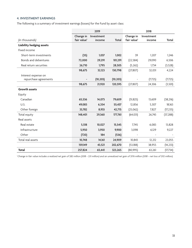## **4. INVESTMENT EARNINGS**

The following is a summary of investment earnings (losses) for the Fund by asset class:

|                                 |                         | 2019       |           |                          | 2018                     |           |
|---------------------------------|-------------------------|------------|-----------|--------------------------|--------------------------|-----------|
|                                 | Change in               | Investment |           | Change in                | Investment               |           |
| (in thousands)                  | fair value <sup>1</sup> | income     | Total     | fair value <sup>1</sup>  | income                   | Total     |
| <b>Liability hedging assets</b> |                         |            |           |                          |                          |           |
| Fixed income                    |                         |            |           |                          |                          |           |
| Short-term investments          | (35)                    | 1,037      | 1,002     | 39                       | 1,207                    | 1,246     |
| Bonds and debentures            | 72,000                  | 29,291     | 101,291   | (22, 584)                | 29,090                   | 6,506     |
| Real return securities          | 26,710                  | 1,795      | 28,505    | (5,262)                  | 1,734                    | (3,528)   |
|                                 | 98,675                  | 32,123     | 130,798   | (27, 807)                | 32,031                   | 4,224     |
| Interest expense on             |                         |            |           |                          |                          |           |
| repurchase agreements           |                         | (10, 203)  | (10, 203) |                          | (7, 725)                 | (7, 725)  |
|                                 | 98,675                  | 21,920     | 120,595   | (27, 807)                | 24,306                   | (3,501)   |
| <b>Growth assets</b>            |                         |            |           |                          |                          |           |
| Equity                          |                         |            |           |                          |                          |           |
| Canadian                        | 65,536                  | 14,073     | 79,609    | (51, 825)                | 13,609                   | (38, 216) |
| U.S.                            | 49,083                  | 6,354      | 55,437    | 12,856                   | 5,307                    | 18,163    |
| Other foreign                   | 33,782                  | 8,933      | 42,715    | (25,062)                 | 7,827                    | (17, 235) |
| Total equity                    | 148,401                 | 29,360     | 177,761   | (64, 031)                | 26,743                   | (37, 288) |
| Real assets                     |                         |            |           |                          |                          |           |
| Real estate                     | 5,518                   | 10,027     | 15,545    | 7,745                    | 6,083                    | 13,828    |
| Infrastructure                  | 5,950                   | 3,950      | 9,900     | 3,098                    | 6,129                    | 9,227     |
| Other                           | (720)                   | 184        | (536)     | $\overline{\phantom{a}}$ | $\overline{\phantom{a}}$ |           |
| Total real assets               | 10,748                  | 14,161     | 24,909    | 10,843                   | 12,212                   | 23,055    |
|                                 | 159,149                 | 43,521     | 202,670   | (53, 188)                | 38,955                   | (14, 233) |
| <b>Total</b>                    | 257,824                 | 65,441     | 323,265   | (80,995)                 | 63,261                   | (17, 734) |

*1 Change in fair value includes a realized net gain of \$82 million (2018 – \$31 million) and an unrealized net gain of \$176 million (2018 – net loss of \$112 million).*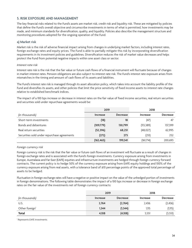## **5. RISK EXPOSURE AND MANAGEMENT**

The key financial risks related to the Fund's assets are market risk, credit risk and liquidity risk. These are mitigated by policies that define the Fund's overall objective and circumscribe investments in terms of what is permitted, how investments may be made, and minimum standards for diversification, quality, and liquidity. Policies also describe the management structure and monitoring procedures adopted for the ongoing operation of the Fund.

#### **a) Market risk**

Market risk is the risk of adverse financial impact arising from changes in underlying market factors, including interest rates, foreign exchange rates and equity prices. The Fund is able to partially mitigate this risk by incorporating diversification requirements in its investment policies and guidelines. Diversification reduces the risk of market value decreases and helps protect the Fund from potential negative impacts within one asset class or sector.

#### *Interest rate risk*

Interest rate risk is the risk that the fair value or future cash flows of a financial instrument will fluctuate because of changes in market interest rates. Pension obligations are also subject to interest rate risk. The Fund's interest rate exposure arises from mismatches in the timing and amount of cash flows of its assets and liabilities.

The Fund's interest rate risk is managed through its asset allocation policy, which takes into account the liability profile of the Fund and diversifies its assets, and other policies that limit the price sensitivity of fixed income assets to interest rate changes relative to established benchmark indices.

The impact of a 100 bps increase or decrease in interest rates on the fair value of fixed income securities, real return securities and securities sold under repurchase agreements would be:

|                                             | 2019            |                 | 2018            |                 |
|---------------------------------------------|-----------------|-----------------|-----------------|-----------------|
| (in thousands)                              | <b>Increase</b> | <b>Decrease</b> | <b>Increase</b> | <b>Decrease</b> |
| Short-term investments                      | (18)            | 18              | (47)            | 47              |
| Bonds and debentures                        | (109,779)       | 130,799         | (113, 389)      | 137,399         |
| Real return securities                      | (52, 396)       | 68,251          | (48, 027)       | 62,995          |
| Securities sold under repurchase agreements | (272)           | 273             | (251)           | 252             |
|                                             | (162, 465)      | 199,341         | (161,714)       | 200,693         |

#### *Foreign currency risk*

Foreign currency risk is the risk that the fair value or future cash flows of an investment will fluctuate as a result of changes in foreign exchange rates and is associated with the Fund's foreign investments. Currency exposure arising from investments in Europe, Australasia and Far East (EAFE) equities and infrastructure investments are hedged through foreign currency forward contracts. The current policy is to hedge 50% of the currency exposure arising from EAFE equity holdings and 100% of the currency exposure arising from real assets, with a tolerance band of ±10 percentage points of the approved total percentage of assets to be hedged.

Fluctuation in foreign exchange rates will have a negative or positive impact on the value of the unhedged portion of investments in foreign denominations. The following table demonstrates the impact of a 100 bps increase or decrease in foreign exchange rates on the fair value of the investments net of foreign currency contracts:

|                            | 2019            |                 | 2018            |                 |
|----------------------------|-----------------|-----------------|-----------------|-----------------|
| (in thousands)             | <b>Increase</b> | <b>Decrease</b> | <b>Increase</b> | <b>Decrease</b> |
| U.S.                       | 2,764           | (2,764)         | 2,436           | (2, 436)        |
| Other foreign <sup>1</sup> | 1,344           | (1, 344)        | 1,115           | (1, 115)        |
| Total                      | 4,108           | (4,108)         | 3,551           | (3, 551)        |

*1 Represents EAFE investments.*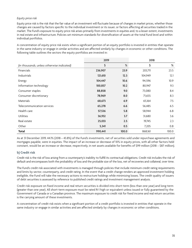#### *Equity price risk*

Equity price risk is the risk that the fair value of an investment will fluctuate because of changes in market prices, whether those changes are caused by factors specific to the individual investment or its issuer, or factors affecting all securities traded in the market. The Fund's exposure to equity price risk arises primarily from investments in equities and, to a lesser extent, investments in real estate and infrastructure. Policies set minimum standards for diversification of assets at the total Fund level and within individual portfolios.

A concentration of equity price risk exists when a significant portion of an equity portfolio is invested in entities that operate in the same industry or engage in similar activities and are affected similarly by changes in economic or other conditions. The following table outlines the sectors the equity portfolios are invested in:

|                                            | 2019    |       | 2018    |       |
|--------------------------------------------|---------|-------|---------|-------|
| (in thousands, unless otherwise indicated) | \$      | $\%$  | \$      | %     |
| Financials                                 | 236,907 | 23.9  | 203,711 | 23.5  |
| Industrials                                | 121,610 | 12.3  | 104,949 | 12.1  |
| Energy                                     | 104,447 | 10.6  | 94,596  | 10.9  |
| Information technology                     | 100,857 | 10.2  | 80,947  | 9.3   |
| Consumer staples                           | 88,858  | 9.0   | 73,080  | 8.4   |
| Consumer discretionary                     | 78,969  | 8.0   | 71,655  | 8.3   |
| <b>Materials</b>                           | 68,673  | 6.9   | 65,164  | 7.5   |
| Telecommunication services                 | 65,278  | 6.6   | 56,485  | 6.5   |
| Health care                                | 57,536  | 5.8   | 58,944  | 6.8   |
| <b>Utilities</b>                           | 36,932  | 3.7   | 31,680  | 3.6   |
| Real estate                                | 25,033  | 2.5   | 19,745  | 2.3   |
| Other                                      | 5,341   | 0.5   | 7,205   | 0.8   |
| <b>Total</b>                               | 990,441 | 100.0 | 868,161 | 100.0 |

As at 31 December 2019, 44.1% (2018 – 43.8%) of the Fund's investments, net of securities sold under repurchase agreements and mortgages payable, were in equities. The impact of an increase or decrease of 10% in equity prices, with all other factors held constant, would be an increase or decrease, respectively, in net assets available for benefits of \$99 million (2018 – \$87 million).

## **b) Credit risk**

Credit risk is the risk of loss arising from a counterparty's inability to fulfill its contractual obligations. Credit risk includes the risk of default and encompasses both the probability of loss and the probable size of the loss, net of recoveries and collateral, over time.

The Fund's credit risk associated with investments is managed through policies that include minimum credit rating requirements and limits by sector, counterparty, and credit rating. In the event that a credit change renders an approved investment holding ineligible, the Fund will take the necessary actions to restructure holdings while minimizing losses. The credit quality of issuers of debt securities is assessed by reference to published credit ratings and investment management analysis.

Credit risk exposure on fixed income and real return securities is divided into short-term (less than one year) and long-term (greater than one year). All short-term exposure must be rated R-1 high or equivalent unless issued or fully guaranteed by the Government of Canada or a Canadian province. The maximum exposure to credit risk for fixed income and real return securities is the carrying amount of these investments.

A concentration of credit risk exists when a significant portion of a credit portfolio is invested in entities that operate in the same industry or engage in similar activities and are affected similarly by changes in economic or other conditions.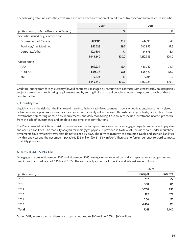The following table indicates the credit risk exposure and concentration of credit risk of fixed income and real return securities:

|                                            | 2019      |       | 2018      |       |
|--------------------------------------------|-----------|-------|-----------|-------|
| (in thousands, unless otherwise indicated) | \$        | %     | Ş         | %     |
| Securities issued or guaranteed by:        |           |       |           |       |
| Government of Canada                       | 479,913   | 33.2  | 447,315   | 34.1  |
| Provinces/municipalities                   | 862,723   | 59.7  | 780,993   | 59.5  |
| Corporate/other                            | 102,604   | 7.1   | 84,675    | 6.4   |
|                                            | 1,445,240 | 100.0 | 1,312,983 | 100.0 |
| Credit rating:                             |           |       |           |       |
| <b>AAA</b>                                 | 569,239   | 39.4  | 458,742   | 34.9  |
| $A - to AA +$                              | 860,177   | 59.5  | 838,427   | 63.9  |
| <b>BBB</b>                                 | 15,824    | 1.1   | 15,814    | 1.2   |
|                                            | 1,445,240 | 100.0 | 1,312,983 | 100.0 |

Credit risk arising from foreign currency forward contracts is managed by entering into contracts with creditworthy counterparties subject to minimum credit rating requirements and by setting limits on the allowable amount of exposure to each of these counterparties.

## **c) Liquidity risk**

Liquidity risk is the risk that the Plan would have insufficient cash flows to meet its pension obligations, investment-related obligations, and operating expenses as they come due. Liquidity risk is managed through holdings of highly liquid short-term investments, forecasting of cash flow requirements, and daily monitoring. Cash sources include investment income, proceeds from the sale of investments, and employee and employer contributions.

The Plan's financial liabilities consist of securities sold under repurchase agreements, mortgages payable, and accounts payable and accrued liabilities. The maturity analysis for mortgages payable is provided in Note 6. All securities sold under repurchase agreements have remaining terms that do not exceed 60 days. The term to maturity of accounts payable and accrued liabilities is within one year and the net amount payable is \$3.5 million (2018 – \$15.4 million). There are no foreign currency forward contracts in liability positions.

## **6. MORTGAGES PAYABLE**

Mortgages mature in November 2022 and November 2025. Mortgages are secured by land and specific rental properties and bear interest at fixed rates of 3.45% and 3.81%. The estimated payments of principal and interest are as follows:

|                |           | 2019     |  |
|----------------|-----------|----------|--|
| (in thousands) | Principal | Interest |  |
| 2020           | 297       | 327      |  |
| 2021           | 308       | 316      |  |
| 2022           | 3,708     | 295      |  |
| 2023           | 192       | 179      |  |
| 2024           | 200       | 172      |  |
| 2025           | 4,436     | 151      |  |
| <b>Total</b>   | 9,141     | 1,440    |  |

During 2019, interest paid on these mortgages amounted to \$0.3 million (2018 – \$0.3 million).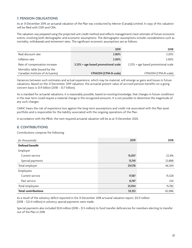## **7. PENSION OBLIGATIONS**

As at 31 December 2019, an actuarial valuation of the Plan was conducted by Mercer (Canada) Limited. A copy of this valuation will be filed with OSFI and CRA.

The valuation was prepared using the projected unit credit method and reflects management's best estimate of future economic events, involving both demographic and economic assumptions. The demographic assumptions include considerations such as mortality, withdrawals and retirement rates. The significant economic assumptions are as follows:

|                                                                    | 2019                                | 2018                                |
|--------------------------------------------------------------------|-------------------------------------|-------------------------------------|
| Real discount rate                                                 | 2.80%                               | 3.20%                               |
| Inflation rate                                                     | 2.00%                               | 2.00%                               |
| Rate of compensation increase                                      | 3.25% + age based promotional scale | 3.25% + age based promotional scale |
| Mortality table (issued by the<br>Canadian Institute of Actuaries) | CPM2014 (CPM-B scale)               | CPM2014 (CPM-B scale)               |

Variances between such estimates and actual experience, which may be material, will emerge as gains and losses in future valuations. Based on the 31 December 2019 valuation, the actuarial present value of accrued pension benefits on a going concern basis is \$1.9 billion (2018 – \$1.7 billion).

As is standard for actuarial valuations, it is reasonably possible, based on existing knowledge, that changes in future conditions in the near term could require a material change in the recognized amounts. It is not possible to determine the magnitude of any such changes.

CMHC bears the risk of experience loss against the long-term assumptions and credit risk associated with the Plan asset portfolio and is responsible for the liability associated with the ongoing operations of the Plan.

In accordance with the PBSA, the next required actuarial valuation will be as at 31 December 2020.

## **8. CONTRIBUTIONS**

Contributions comprise the following:

| (in thousands)             | 2019   | 2018   |
|----------------------------|--------|--------|
| <b>Defined benefit</b>     |        |        |
| Employer                   |        |        |
| Current service            | 15,837 | 22,416 |
| Special payments           | 13,741 | 23,888 |
| Total employer             | 29,578 | 46,304 |
| Employees                  |        |        |
| Current service            | 17,187 | 15,528 |
| Past service               | 8,747  | 254    |
| Total employees            | 25,934 | 15,782 |
| <b>Total contributions</b> | 55,512 | 62,086 |

As a result of the solvency deficit reported in the 31 December 2018 actuarial valuation report, \$12.9 million (2018 – \$22.4 million) in solvency special payments were made.

Special payments also included \$0.8 million (2018 – \$1.5 million) to fund transfer deficiencies for members electing to transfer out of the Plan in 2018.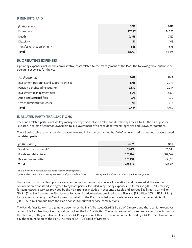## **9. BENEFITS PAID**

| (in thousands)               | 2019   | 2018   |
|------------------------------|--------|--------|
| Retirement                   | 77,287 | 76,565 |
| Death                        | 7,468  | 7,123  |
| Disability                   | 111    | 109    |
| Transfer restriction annuity | 565    | 678    |
| <b>Total</b>                 | 85,431 | 84,475 |

## **10. OPERATING EXPENSES**

Operating expenses include the administrative costs related to the management of the Plan. The following table outlines the operating expenses for the year:

| (in thousands)                            | 2019  | 2018  |
|-------------------------------------------|-------|-------|
| Investment personnel and support services | 2,715 | 2,774 |
| Pension benefits administration           | 2,350 | 2.257 |
| Investment management fees                | 1,373 | 2,321 |
| Audit and actuarial fees                  | 273   | 230   |
| Other administration costs                | 713   | 777   |
| <b>Total</b>                              | 7,424 | 8.359 |

## **11. RELATED PARTY TRANSACTIONS**

The Fund's related parties include key management personnel and CMHC and its related parties. CMHC, the Plan Sponsor, is related in terms of common ownership to all Government of Canada departments, agencies and Crown corporations.

The following table summarizes the amount invested in instruments issued by CMHC or its related parties and amounts owed by related parties:

| (in thousands)                      | 2019    | 2018    |
|-------------------------------------|---------|---------|
| Short-term investments <sup>1</sup> | 9,649   | 26,643  |
| Bonds and debentures <sup>2</sup>   | 207,126 | 182,662 |
| Real return securities <sup>1</sup> | 263,138 | 238,011 |
| Total                               | 479,913 | 447.316 |

*1 This is invested in related parties other than the Plan Sponsor.*

*2 \$66.6 million (2018 – \$50.6 million) in CMHC and \$140.5 million (2018 – \$132.0 million) in related parties other than the Plan Sponsor.*

Transactions with the Plan Sponsor were conducted in the normal course of operations and measured at the amount of consideration established and agreed to by both parties. Included in operating expenses is \$3.8 million (2018 – \$4.2 million) for administrative services provided by the Plan Sponsor. Included in accounts payable and accrued liabilities is \$0.7 million (2018 – \$1.1 million) due to the Plan Sponsor for administrative services provided to the Plan and \$1.4 million (2018 – \$13.7 million) for payments made by the Plan Sponsor on behalf of the Plan. Included in accounts receivable and other assets is nil (2018 – \$0.4 million) due from the Plan Sponsor for current service contributions.

The Plan defines its key management personnel as the Plan's Trustees, CMHC's Board of Directors and those senior executives responsible for planning, directing and controlling the Plan's activities. The remuneration of those senior executives is paid by the Plan and, as they are also employees of CMHC, a portion of their remuneration is reimbursed by CMHC. The Plan does not pay the remuneration of the Plan's Trustees or CMHC's Board of Directors.